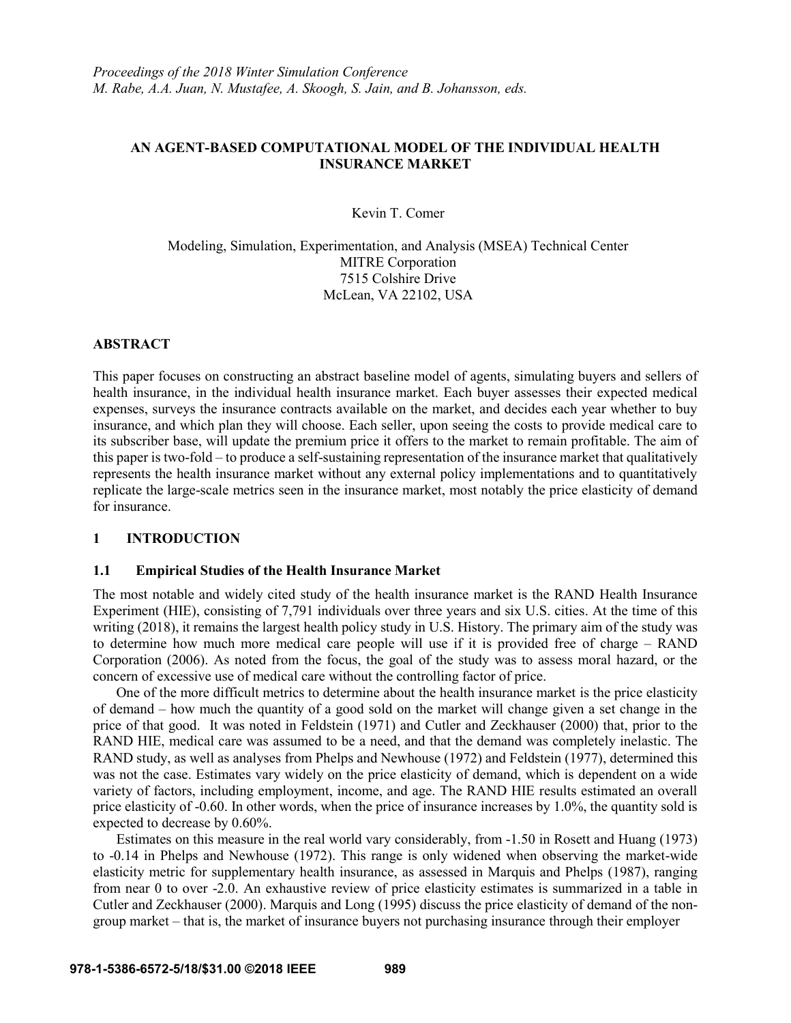# **AN AGENT-BASED COMPUTATIONAL MODEL OF THE INDIVIDUAL HEALTH INSURANCE MARKET**

Kevin T. Comer

Modeling, Simulation, Experimentation, and Analysis (MSEA) Technical Center MITRE Corporation 7515 Colshire Drive McLean, VA 22102, USA

## **ABSTRACT**

This paper focuses on constructing an abstract baseline model of agents, simulating buyers and sellers of health insurance, in the individual health insurance market. Each buyer assesses their expected medical expenses, surveys the insurance contracts available on the market, and decides each year whether to buy insurance, and which plan they will choose. Each seller, upon seeing the costs to provide medical care to its subscriber base, will update the premium price it offers to the market to remain profitable. The aim of this paper is two-fold – to produce a self-sustaining representation of the insurance market that qualitatively represents the health insurance market without any external policy implementations and to quantitatively replicate the large-scale metrics seen in the insurance market, most notably the price elasticity of demand for insurance.

### **1 INTRODUCTION**

### **1.1 Empirical Studies of the Health Insurance Market**

The most notable and widely cited study of the health insurance market is the RAND Health Insurance Experiment (HIE), consisting of 7,791 individuals over three years and six U.S. cities. At the time of this writing (2018), it remains the largest health policy study in U.S. History. The primary aim of the study was to determine how much more medical care people will use if it is provided free of charge – RAND Corporation (2006). As noted from the focus, the goal of the study was to assess moral hazard, or the concern of excessive use of medical care without the controlling factor of price.

One of the more difficult metrics to determine about the health insurance market is the price elasticity of demand – how much the quantity of a good sold on the market will change given a set change in the price of that good. It was noted in Feldstein (1971) and Cutler and Zeckhauser (2000) that, prior to the RAND HIE, medical care was assumed to be a need, and that the demand was completely inelastic. The RAND study, as well as analyses from Phelps and Newhouse (1972) and Feldstein (1977), determined this was not the case. Estimates vary widely on the price elasticity of demand, which is dependent on a wide variety of factors, including employment, income, and age. The RAND HIE results estimated an overall price elasticity of -0.60. In other words, when the price of insurance increases by 1.0%, the quantity sold is expected to decrease by 0.60%.

Estimates on this measure in the real world vary considerably, from -1.50 in Rosett and Huang (1973) to -0.14 in Phelps and Newhouse (1972). This range is only widened when observing the market-wide elasticity metric for supplementary health insurance, as assessed in Marquis and Phelps (1987), ranging from near 0 to over -2.0. An exhaustive review of price elasticity estimates is summarized in a table in Cutler and Zeckhauser (2000). Marquis and Long (1995) discuss the price elasticity of demand of the nongroup market – that is, the market of insurance buyers not purchasing insurance through their employer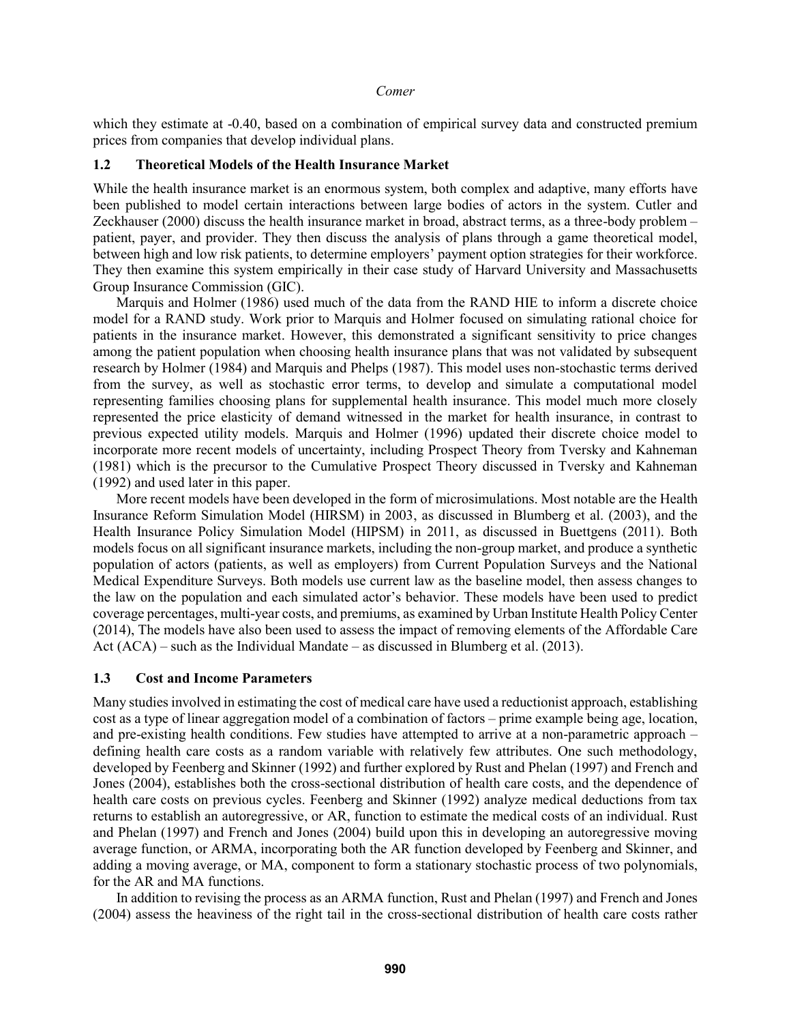which they estimate at  $-0.40$ , based on a combination of empirical survey data and constructed premium prices from companies that develop individual plans.

### **1.2 Theoretical Models of the Health Insurance Market**

While the health insurance market is an enormous system, both complex and adaptive, many efforts have been published to model certain interactions between large bodies of actors in the system. Cutler and Zeckhauser (2000) discuss the health insurance market in broad, abstract terms, as a three-body problem – patient, payer, and provider. They then discuss the analysis of plans through a game theoretical model, between high and low risk patients, to determine employers' payment option strategies for their workforce. They then examine this system empirically in their case study of Harvard University and Massachusetts Group Insurance Commission (GIC).

Marquis and Holmer (1986) used much of the data from the RAND HIE to inform a discrete choice model for a RAND study. Work prior to Marquis and Holmer focused on simulating rational choice for patients in the insurance market. However, this demonstrated a significant sensitivity to price changes among the patient population when choosing health insurance plans that was not validated by subsequent research by Holmer (1984) and Marquis and Phelps (1987). This model uses non-stochastic terms derived from the survey, as well as stochastic error terms, to develop and simulate a computational model representing families choosing plans for supplemental health insurance. This model much more closely represented the price elasticity of demand witnessed in the market for health insurance, in contrast to previous expected utility models. Marquis and Holmer (1996) updated their discrete choice model to incorporate more recent models of uncertainty, including Prospect Theory from Tversky and Kahneman (1981) which is the precursor to the Cumulative Prospect Theory discussed in Tversky and Kahneman (1992) and used later in this paper.

More recent models have been developed in the form of microsimulations. Most notable are the Health Insurance Reform Simulation Model (HIRSM) in 2003, as discussed in Blumberg et al. (2003), and the Health Insurance Policy Simulation Model (HIPSM) in 2011, as discussed in Buettgens (2011). Both models focus on all significant insurance markets, including the non-group market, and produce a synthetic population of actors (patients, as well as employers) from Current Population Surveys and the National Medical Expenditure Surveys. Both models use current law as the baseline model, then assess changes to the law on the population and each simulated actor's behavior. These models have been used to predict coverage percentages, multi-year costs, and premiums, as examined by Urban Institute Health Policy Center (2014), The models have also been used to assess the impact of removing elements of the Affordable Care Act (ACA) – such as the Individual Mandate – as discussed in Blumberg et al. (2013).

### **1.3 Cost and Income Parameters**

Many studies involved in estimating the cost of medical care have used a reductionist approach, establishing cost as a type of linear aggregation model of a combination of factors – prime example being age, location, and pre-existing health conditions. Few studies have attempted to arrive at a non-parametric approach – defining health care costs as a random variable with relatively few attributes. One such methodology, developed by Feenberg and Skinner (1992) and further explored by Rust and Phelan (1997) and French and Jones (2004), establishes both the cross-sectional distribution of health care costs, and the dependence of health care costs on previous cycles. Feenberg and Skinner (1992) analyze medical deductions from tax returns to establish an autoregressive, or AR, function to estimate the medical costs of an individual. Rust and Phelan (1997) and French and Jones (2004) build upon this in developing an autoregressive moving average function, or ARMA, incorporating both the AR function developed by Feenberg and Skinner, and adding a moving average, or MA, component to form a stationary stochastic process of two polynomials, for the AR and MA functions.

In addition to revising the process as an ARMA function, Rust and Phelan (1997) and French and Jones (2004) assess the heaviness of the right tail in the cross-sectional distribution of health care costs rather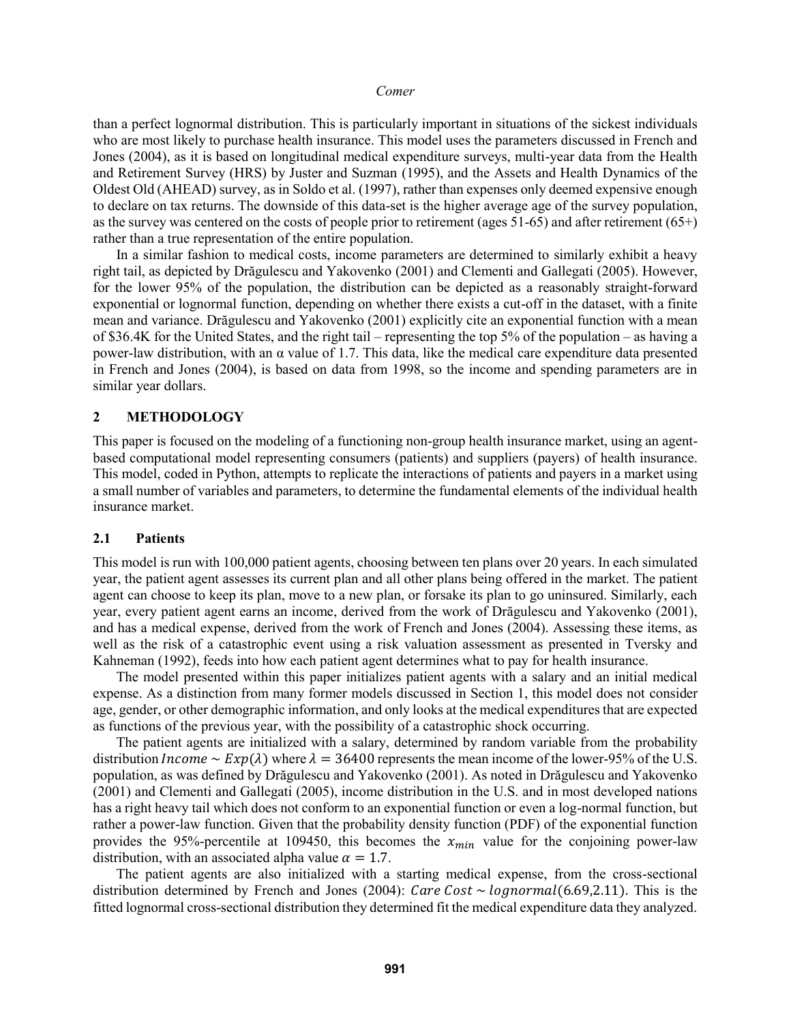than a perfect lognormal distribution. This is particularly important in situations of the sickest individuals who are most likely to purchase health insurance. This model uses the parameters discussed in French and Jones (2004), as it is based on longitudinal medical expenditure surveys, multi-year data from the Health and Retirement Survey (HRS) by Juster and Suzman (1995), and the Assets and Health Dynamics of the Oldest Old (AHEAD) survey, as in Soldo et al. (1997), rather than expenses only deemed expensive enough to declare on tax returns. The downside of this data-set is the higher average age of the survey population, as the survey was centered on the costs of people prior to retirement (ages 51-65) and after retirement (65+) rather than a true representation of the entire population.

In a similar fashion to medical costs, income parameters are determined to similarly exhibit a heavy right tail, as depicted by Drăgulescu and Yakovenko (2001) and Clementi and Gallegati (2005). However, for the lower 95% of the population, the distribution can be depicted as a reasonably straight-forward exponential or lognormal function, depending on whether there exists a cut-off in the dataset, with a finite mean and variance. Drăgulescu and Yakovenko (2001) explicitly cite an exponential function with a mean of \$36.4K for the United States, and the right tail – representing the top 5% of the population – as having a power-law distribution, with an α value of 1.7. This data, like the medical care expenditure data presented in French and Jones (2004), is based on data from 1998, so the income and spending parameters are in similar year dollars.

#### **2 METHODOLOGY**

This paper is focused on the modeling of a functioning non-group health insurance market, using an agentbased computational model representing consumers (patients) and suppliers (payers) of health insurance. This model, coded in Python, attempts to replicate the interactions of patients and payers in a market using a small number of variables and parameters, to determine the fundamental elements of the individual health insurance market.

#### **2.1 Patients**

This model is run with 100,000 patient agents, choosing between ten plans over 20 years. In each simulated year, the patient agent assesses its current plan and all other plans being offered in the market. The patient agent can choose to keep its plan, move to a new plan, or forsake its plan to go uninsured. Similarly, each year, every patient agent earns an income, derived from the work of Drăgulescu and Yakovenko (2001), and has a medical expense, derived from the work of French and Jones (2004). Assessing these items, as well as the risk of a catastrophic event using a risk valuation assessment as presented in Tversky and Kahneman (1992), feeds into how each patient agent determines what to pay for health insurance.

The model presented within this paper initializes patient agents with a salary and an initial medical expense. As a distinction from many former models discussed in Section 1, this model does not consider age, gender, or other demographic information, and only looks at the medical expenditures that are expected as functions of the previous year, with the possibility of a catastrophic shock occurring.

The patient agents are initialized with a salary, determined by random variable from the probability distribution *Income*  $\sim$   $Exp(\lambda)$  where  $\lambda = 36400$  represents the mean income of the lower-95% of the U.S. population, as was defined by Drăgulescu and Yakovenko (2001). As noted in Drăgulescu and Yakovenko (2001) and Clementi and Gallegati (2005), income distribution in the U.S. and in most developed nations has a right heavy tail which does not conform to an exponential function or even a log-normal function, but rather a power-law function. Given that the probability density function (PDF) of the exponential function provides the 95%-percentile at 109450, this becomes the  $x_{min}$  value for the conjoining power-law distribution, with an associated alpha value  $\alpha = 1.7$ .

The patient agents are also initialized with a starting medical expense, from the cross-sectional distribution determined by French and Jones (2004): *Care Cost*  $\sim$  *lognormal*(6.69,2.11). This is the fitted lognormal cross-sectional distribution they determined fit the medical expenditure data they analyzed.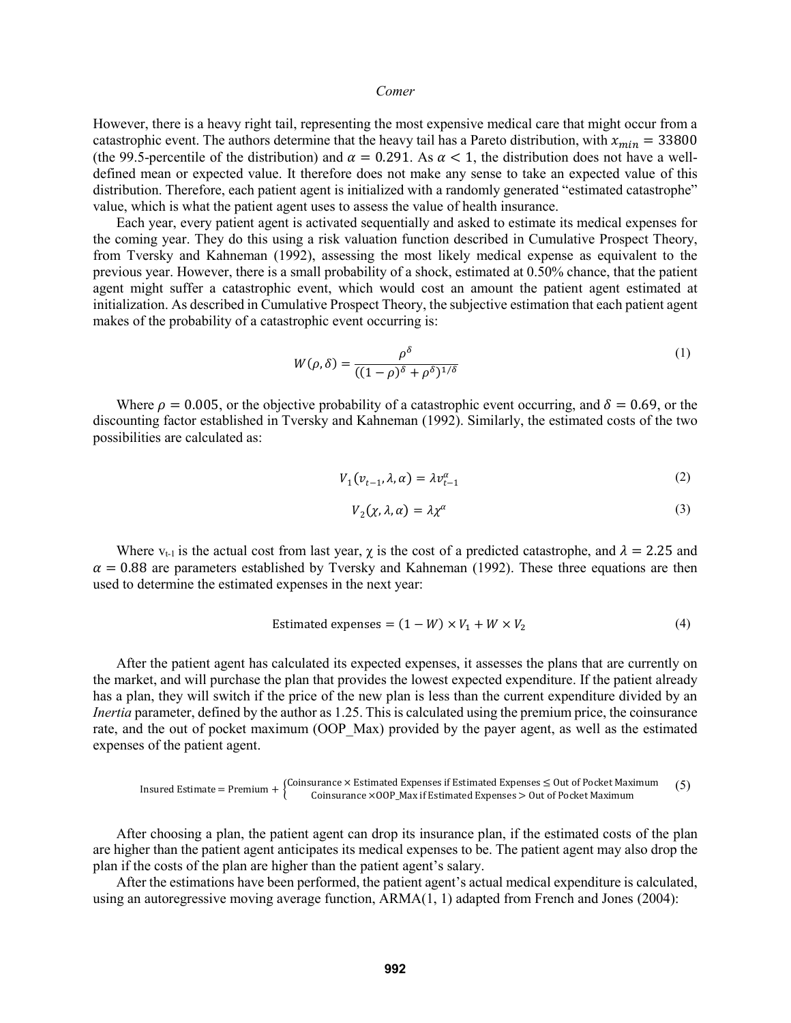However, there is a heavy right tail, representing the most expensive medical care that might occur from a catastrophic event. The authors determine that the heavy tail has a Pareto distribution, with  $x_{min} = 33800$ (the 99.5-percentile of the distribution) and  $\alpha = 0.291$ . As  $\alpha < 1$ , the distribution does not have a welldefined mean or expected value. It therefore does not make any sense to take an expected value of this distribution. Therefore, each patient agent is initialized with a randomly generated "estimated catastrophe" value, which is what the patient agent uses to assess the value of health insurance.

Each year, every patient agent is activated sequentially and asked to estimate its medical expenses for the coming year. They do this using a risk valuation function described in Cumulative Prospect Theory, from Tversky and Kahneman (1992), assessing the most likely medical expense as equivalent to the previous year. However, there is a small probability of a shock, estimated at 0.50% chance, that the patient agent might suffer a catastrophic event, which would cost an amount the patient agent estimated at initialization. As described in Cumulative Prospect Theory, the subjective estimation that each patient agent makes of the probability of a catastrophic event occurring is:

$$
W(\rho,\delta) = \frac{\rho^{\delta}}{((1-\rho)^{\delta}+\rho^{\delta})^{1/\delta}}
$$
 (1)

Where  $\rho = 0.005$ , or the objective probability of a catastrophic event occurring, and  $\delta = 0.69$ , or the discounting factor established in Tversky and Kahneman (1992). Similarly, the estimated costs of the two possibilities are calculated as:

$$
V_1(v_{t-1}, \lambda, \alpha) = \lambda v_{t-1}^{\alpha} \tag{2}
$$

$$
V_2(\chi,\lambda,\alpha) = \lambda \chi^{\alpha} \tag{3}
$$

Where  $v_{t-1}$  is the actual cost from last year,  $\chi$  is the cost of a predicted catastrophe, and  $\lambda = 2.25$  and  $\alpha$  = 0.88 are parameters established by Tversky and Kahneman (1992). These three equations are then used to determine the estimated expenses in the next year:

$$
Estimated expenses = (1 - W) \times V_1 + W \times V_2 \tag{4}
$$

After the patient agent has calculated its expected expenses, it assesses the plans that are currently on the market, and will purchase the plan that provides the lowest expected expenditure. If the patient already has a plan, they will switch if the price of the new plan is less than the current expenditure divided by an *Inertia* parameter, defined by the author as 1.25. This is calculated using the premium price, the coinsurance rate, and the out of pocket maximum (OOP\_Max) provided by the payer agent, as well as the estimated expenses of the patient agent.

$$
Insured Estimate = \text{Premium} + \begin{cases} \text{Coinsurance} \times \text{Estimated Expenses if Estimateed Expenses} \leq \text{Out of Pocket Maximum} \\ \text{Coinsurance} \times \text{OOP\_Max if Estimateed Expenses} > \text{Out of Pocket Maximum} \end{cases} \tag{5}
$$

After choosing a plan, the patient agent can drop its insurance plan, if the estimated costs of the plan are higher than the patient agent anticipates its medical expenses to be. The patient agent may also drop the plan if the costs of the plan are higher than the patient agent's salary.

After the estimations have been performed, the patient agent's actual medical expenditure is calculated, using an autoregressive moving average function, ARMA(1, 1) adapted from French and Jones (2004):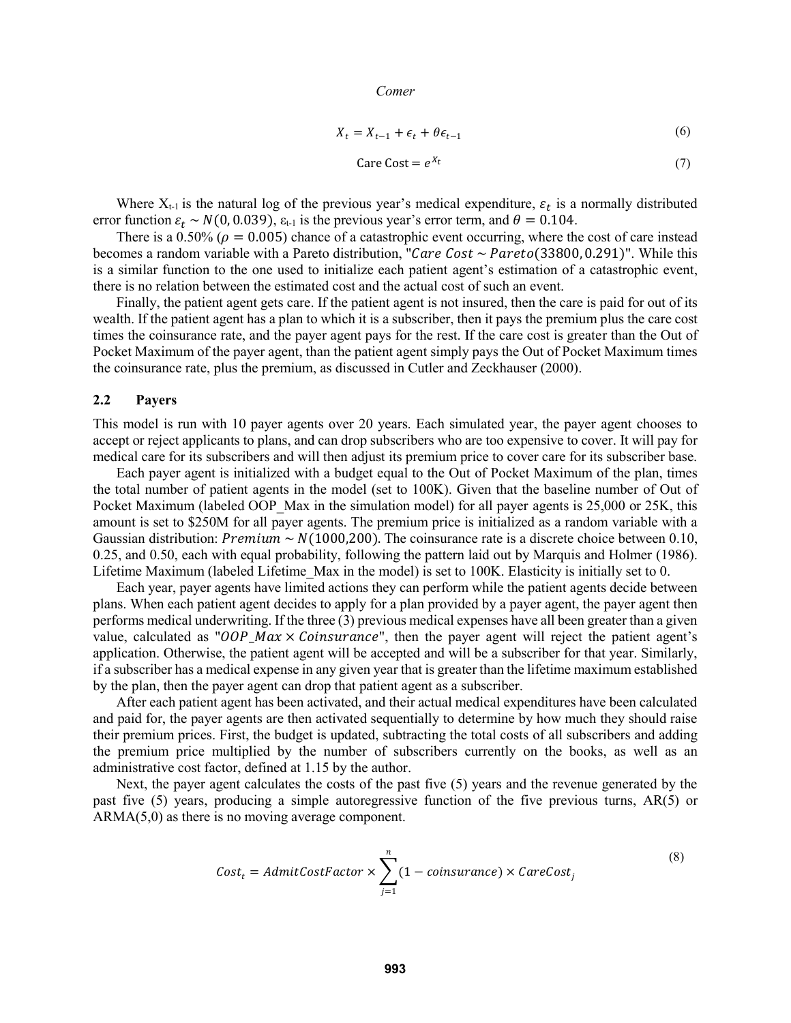$$
X_t = X_{t-1} + \epsilon_t + \theta \epsilon_{t-1} \tag{6}
$$

$$
Care Cost = e^{X_t} \tag{7}
$$

Where  $X_{t-1}$  is the natural log of the previous year's medical expenditure,  $\varepsilon_t$  is a normally distributed error function  $\varepsilon_t \sim N(0, 0.039)$ ,  $\varepsilon_{t-1}$  is the previous year's error term, and  $\theta = 0.104$ .

There is a 0.50% ( $\rho = 0.005$ ) chance of a catastrophic event occurring, where the cost of care instead becomes a random variable with a Pareto distribution, "Care Cost  $\sim$  Pareto(33800, 0.291)". While this is a similar function to the one used to initialize each patient agent's estimation of a catastrophic event, there is no relation between the estimated cost and the actual cost of such an event.

Finally, the patient agent gets care. If the patient agent is not insured, then the care is paid for out of its wealth. If the patient agent has a plan to which it is a subscriber, then it pays the premium plus the care cost times the coinsurance rate, and the payer agent pays for the rest. If the care cost is greater than the Out of Pocket Maximum of the payer agent, than the patient agent simply pays the Out of Pocket Maximum times the coinsurance rate, plus the premium, as discussed in Cutler and Zeckhauser (2000).

## **2.2 Payers**

This model is run with 10 payer agents over 20 years. Each simulated year, the payer agent chooses to accept or reject applicants to plans, and can drop subscribers who are too expensive to cover. It will pay for medical care for its subscribers and will then adjust its premium price to cover care for its subscriber base.

Each payer agent is initialized with a budget equal to the Out of Pocket Maximum of the plan, times the total number of patient agents in the model (set to 100K). Given that the baseline number of Out of Pocket Maximum (labeled OOP\_Max in the simulation model) for all payer agents is 25,000 or 25K, this amount is set to \$250M for all payer agents. The premium price is initialized as a random variable with a Gaussian distribution: *Premium* ~  $N(1000,200)$ . The coinsurance rate is a discrete choice between 0.10, 0.25, and 0.50, each with equal probability, following the pattern laid out by Marquis and Holmer (1986). Lifetime Maximum (labeled Lifetime\_Max in the model) is set to 100K. Elasticity is initially set to 0.

Each year, payer agents have limited actions they can perform while the patient agents decide between plans. When each patient agent decides to apply for a plan provided by a payer agent, the payer agent then performs medical underwriting. If the three (3) previous medical expenses have all been greater than a given value, calculated as " $OOP\_Max \times Coinsurface$ ", then the payer agent will reject the patient agent's application. Otherwise, the patient agent will be accepted and will be a subscriber for that year. Similarly, if a subscriber has a medical expense in any given year that is greater than the lifetime maximum established by the plan, then the payer agent can drop that patient agent as a subscriber.

After each patient agent has been activated, and their actual medical expenditures have been calculated and paid for, the payer agents are then activated sequentially to determine by how much they should raise their premium prices. First, the budget is updated, subtracting the total costs of all subscribers and adding the premium price multiplied by the number of subscribers currently on the books, as well as an administrative cost factor, defined at 1.15 by the author.

Next, the payer agent calculates the costs of the past five (5) years and the revenue generated by the past five (5) years, producing a simple autoregressive function of the five previous turns, AR(5) or ARMA(5,0) as there is no moving average component.

$$
Cost_t = AdmitCostFactor \times \sum_{j=1}^{n} (1 - coinsurface) \times CareCost_j
$$
\n(8)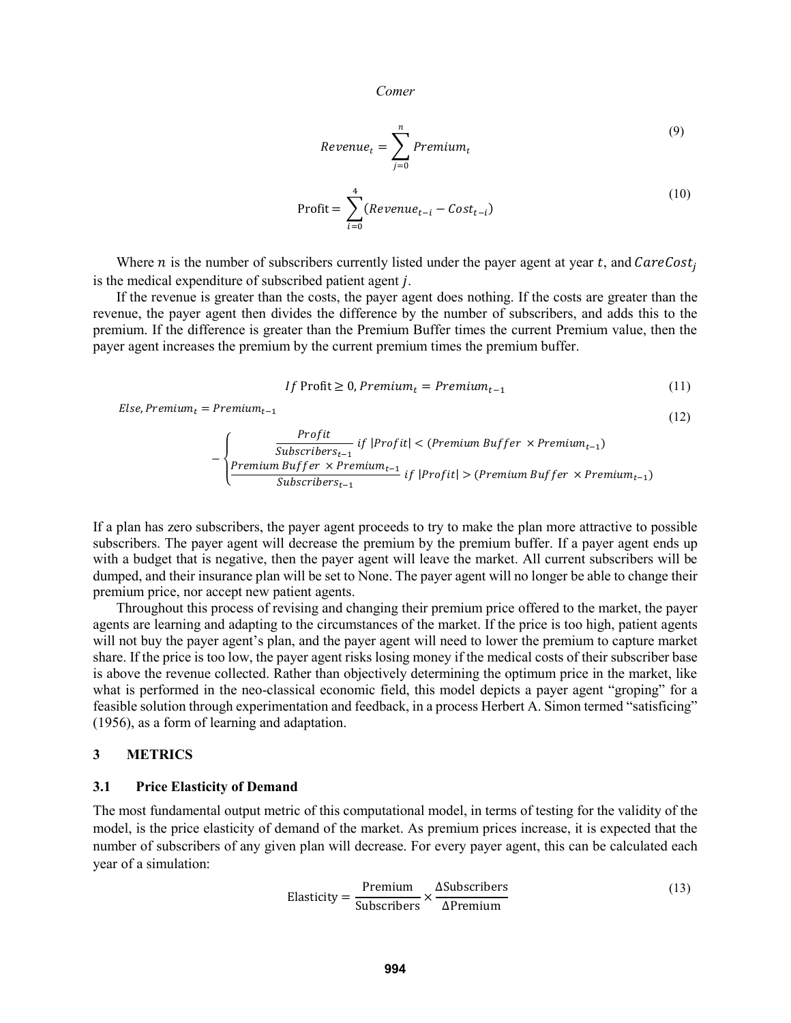$$
Revenue_t = \sum_{j=0}^{n} Premium_t
$$
\n(9)

$$
Profit = \sum_{i=0}^{4} ( Revenue_{t-i} - Cost_{t-i})
$$
\n(10)

Where *n* is the number of subscribers currently listed under the payer agent at year  $t$ , and CareCost<sub>i</sub> is the medical expenditure of subscribed patient agent  $i$ .

If the revenue is greater than the costs, the payer agent does nothing. If the costs are greater than the revenue, the payer agent then divides the difference by the number of subscribers, and adds this to the premium. If the difference is greater than the Premium Buffer times the current Premium value, then the payer agent increases the premium by the current premium times the premium buffer.

$$
If \text{ Profit} \ge 0, \text{Premium}_{t} = \text{Premium}_{t-1} \tag{11}
$$

 $(12)$ 

 $Else, Premium_t = Premium_{t-1}$ 

$$
-\left\{\frac{Profit}{Subscripts_{t-1}} \text{ if } |Profit| < (Premium Buffer \times Premium_{t-1})\right\}
$$
\n
$$
-\left\{\frac{PremiumBuffer \times Premium_{t-1}}{Subscripts_{t-1}} \text{ if } |Profit| > (Premium Buffer \times Premium_{t-1})\right\}
$$

If a plan has zero subscribers, the payer agent proceeds to try to make the plan more attractive to possible subscribers. The payer agent will decrease the premium by the premium buffer. If a payer agent ends up with a budget that is negative, then the payer agent will leave the market. All current subscribers will be dumped, and their insurance plan will be set to None. The payer agent will no longer be able to change their premium price, nor accept new patient agents.

Throughout this process of revising and changing their premium price offered to the market, the payer agents are learning and adapting to the circumstances of the market. If the price is too high, patient agents will not buy the payer agent's plan, and the payer agent will need to lower the premium to capture market share. If the price is too low, the payer agent risks losing money if the medical costs of their subscriber base is above the revenue collected. Rather than objectively determining the optimum price in the market, like what is performed in the neo-classical economic field, this model depicts a payer agent "groping" for a feasible solution through experimentation and feedback, in a process Herbert A. Simon termed "satisficing" (1956), as a form of learning and adaptation.

## **3 METRICS**

### **3.1 Price Elasticity of Demand**

The most fundamental output metric of this computational model, in terms of testing for the validity of the model, is the price elasticity of demand of the market. As premium prices increase, it is expected that the number of subscribers of any given plan will decrease. For every payer agent, this can be calculated each year of a simulation:

Elasticity = 
$$
\frac{\text{Premium}}{\text{Subscripts}} \times \frac{\Delta \text{Subscripts}}{\Delta \text{Premium}}
$$
 (13)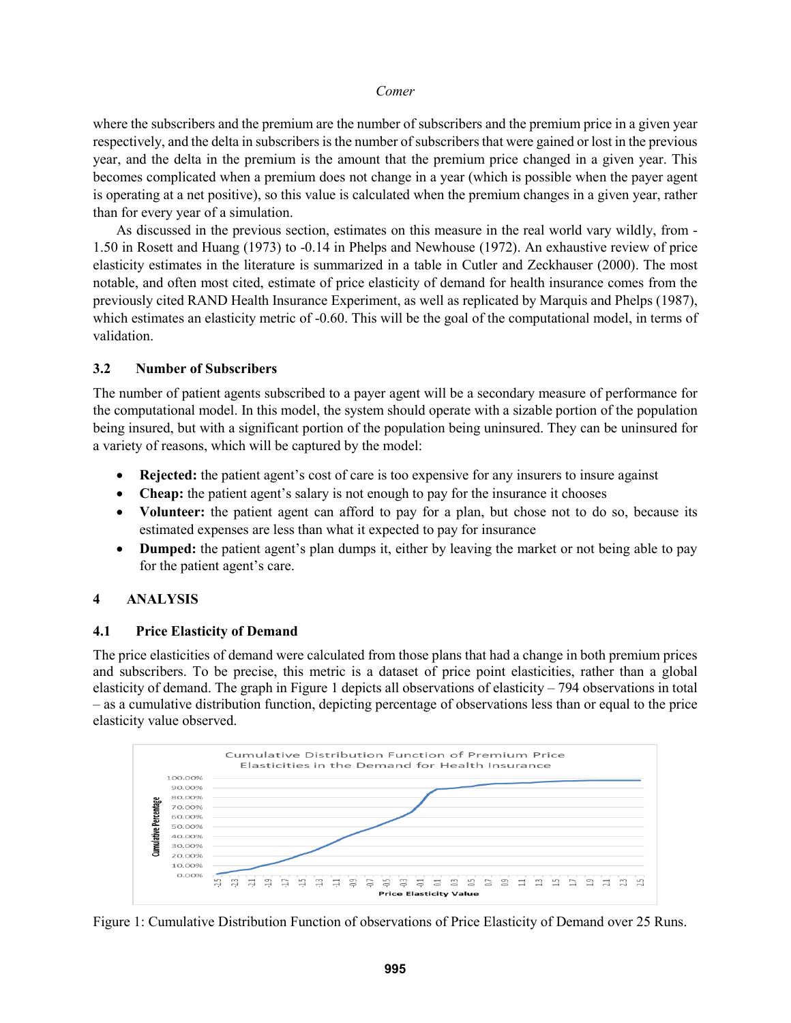where the subscribers and the premium are the number of subscribers and the premium price in a given year respectively, and the delta in subscribers is the number of subscribers that were gained or lost in the previous year, and the delta in the premium is the amount that the premium price changed in a given year. This becomes complicated when a premium does not change in a year (which is possible when the payer agent is operating at a net positive), so this value is calculated when the premium changes in a given year, rather than for every year of a simulation.

As discussed in the previous section, estimates on this measure in the real world vary wildly, from - 1.50 in Rosett and Huang (1973) to -0.14 in Phelps and Newhouse (1972). An exhaustive review of price elasticity estimates in the literature is summarized in a table in Cutler and Zeckhauser (2000). The most notable, and often most cited, estimate of price elasticity of demand for health insurance comes from the previously cited RAND Health Insurance Experiment, as well as replicated by Marquis and Phelps (1987), which estimates an elasticity metric of -0.60. This will be the goal of the computational model, in terms of validation.

## **3.2 Number of Subscribers**

The number of patient agents subscribed to a payer agent will be a secondary measure of performance for the computational model. In this model, the system should operate with a sizable portion of the population being insured, but with a significant portion of the population being uninsured. They can be uninsured for a variety of reasons, which will be captured by the model:

- **Rejected:** the patient agent's cost of care is too expensive for any insurers to insure against
- **Cheap:** the patient agent's salary is not enough to pay for the insurance it chooses
- **Volunteer:** the patient agent can afford to pay for a plan, but chose not to do so, because its estimated expenses are less than what it expected to pay for insurance
- **Dumped:** the patient agent's plan dumps it, either by leaving the market or not being able to pay for the patient agent's care.

# **4 ANALYSIS**

### **4.1 Price Elasticity of Demand**

The price elasticities of demand were calculated from those plans that had a change in both premium prices and subscribers. To be precise, this metric is a dataset of price point elasticities, rather than a global elasticity of demand. The graph in Figure 1 depicts all observations of elasticity – 794 observations in total – as a cumulative distribution function, depicting percentage of observations less than or equal to the price elasticity value observed.



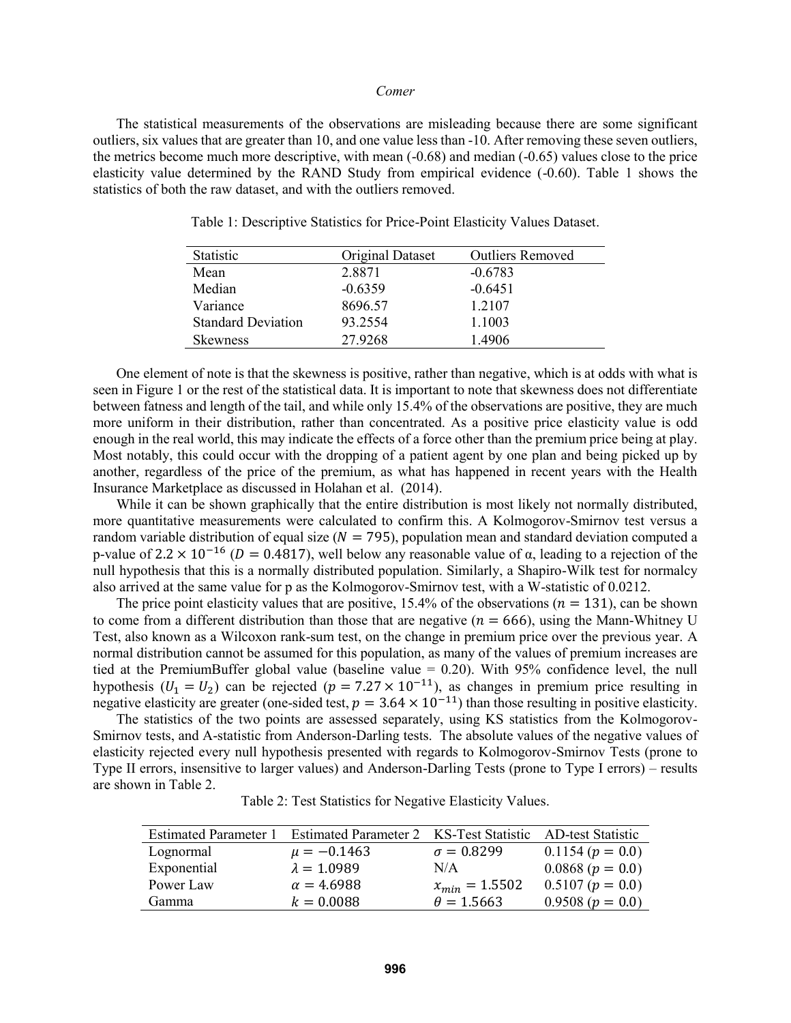The statistical measurements of the observations are misleading because there are some significant outliers, six values that are greater than 10, and one value less than -10. After removing these seven outliers, the metrics become much more descriptive, with mean (-0.68) and median (-0.65) values close to the price elasticity value determined by the RAND Study from empirical evidence (-0.60). Table 1 shows the statistics of both the raw dataset, and with the outliers removed.

| Statistic                 | Original Dataset | <b>Outliers Removed</b> |
|---------------------------|------------------|-------------------------|
| Mean                      | 2.8871           | $-0.6783$               |
| Median                    | $-0.6359$        | $-0.6451$               |
| Variance                  | 8696.57          | 1.2107                  |
| <b>Standard Deviation</b> | 93.2554          | 1.1003                  |
| <b>Skewness</b>           | 27.9268          | 1.4906                  |

Table 1: Descriptive Statistics for Price-Point Elasticity Values Dataset.

One element of note is that the skewness is positive, rather than negative, which is at odds with what is seen in Figure 1 or the rest of the statistical data. It is important to note that skewness does not differentiate between fatness and length of the tail, and while only 15.4% of the observations are positive, they are much more uniform in their distribution, rather than concentrated. As a positive price elasticity value is odd enough in the real world, this may indicate the effects of a force other than the premium price being at play. Most notably, this could occur with the dropping of a patient agent by one plan and being picked up by another, regardless of the price of the premium, as what has happened in recent years with the Health Insurance Marketplace as discussed in Holahan et al. (2014).

While it can be shown graphically that the entire distribution is most likely not normally distributed, more quantitative measurements were calculated to confirm this. A Kolmogorov-Smirnov test versus a random variable distribution of equal size ( $N = 795$ ), population mean and standard deviation computed a p-value of 2.2 × 10<sup>-16</sup> ( $D = 0.4817$ ), well below any reasonable value of α, leading to a rejection of the null hypothesis that this is a normally distributed population. Similarly, a Shapiro-Wilk test for normalcy also arrived at the same value for p as the Kolmogorov-Smirnov test, with a W-statistic of 0.0212.

The price point elasticity values that are positive, 15.4% of the observations ( $n = 131$ ), can be shown to come from a different distribution than those that are negative  $(n = 666)$ , using the Mann-Whitney U Test, also known as a Wilcoxon rank-sum test, on the change in premium price over the previous year. A normal distribution cannot be assumed for this population, as many of the values of premium increases are tied at the PremiumBuffer global value (baseline value = 0.20). With 95% confidence level, the null hypothesis ( $U_1 = U_2$ ) can be rejected ( $p = 7.27 \times 10^{-11}$ ), as changes in premium price resulting in negative elasticity are greater (one-sided test,  $p = 3.64 \times 10^{-11}$ ) than those resulting in positive elasticity.

The statistics of the two points are assessed separately, using KS statistics from the Kolmogorov-Smirnov tests, and A-statistic from Anderson-Darling tests. The absolute values of the negative values of elasticity rejected every null hypothesis presented with regards to Kolmogorov-Smirnov Tests (prone to Type II errors, insensitive to larger values) and Anderson-Darling Tests (prone to Type I errors) – results are shown in Table 2.

Table 2: Test Statistics for Negative Elasticity Values.

| <b>Estimated Parameter 1</b> | Estimated Parameter 2 KS-Test Statistic AD-test Statistic |                    |                    |
|------------------------------|-----------------------------------------------------------|--------------------|--------------------|
| Lognormal                    | $\mu = -0.1463$                                           | $\sigma = 0.8299$  | $0.1154 (p = 0.0)$ |
| Exponential                  | $\lambda = 1.0989$                                        | N/A                | $0.0868 (p = 0.0)$ |
| Power Law                    | $\alpha = 4.6988$                                         | $x_{min} = 1.5502$ | $0.5107 (p = 0.0)$ |
| Gamma                        | $k = 0.0088$                                              | $\theta = 1.5663$  | $0.9508 (p = 0.0)$ |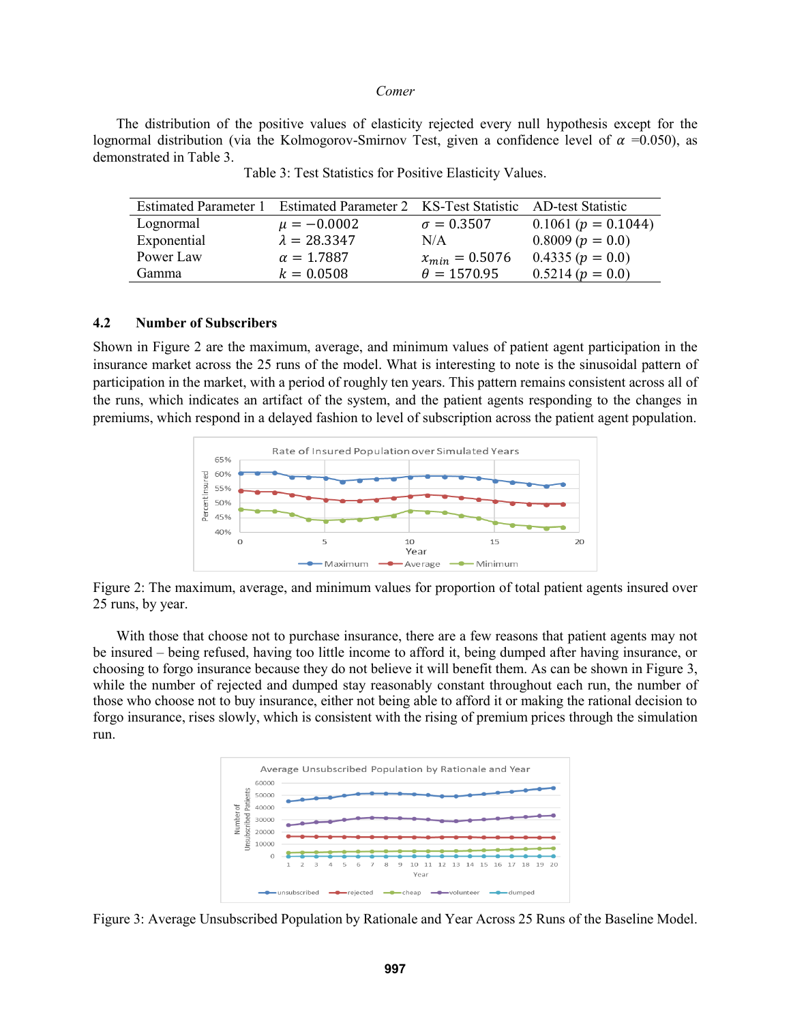The distribution of the positive values of elasticity rejected every null hypothesis except for the lognormal distribution (via the Kolmogorov-Smirnov Test, given a confidence level of  $\alpha$  =0.050), as demonstrated in Table 3.

| <b>Estimated Parameter 1</b> | Estimated Parameter 2 KS-Test Statistic |                    | AD-test Statistic     |
|------------------------------|-----------------------------------------|--------------------|-----------------------|
| Lognormal                    | $\mu = -0.0002$                         | $\sigma = 0.3507$  | $0.1061 (p = 0.1044)$ |
| Exponential                  | $\lambda = 28.3347$                     | N/A                | $0.8009 (p = 0.0)$    |
| Power Law                    | $\alpha = 1.7887$                       | $x_{min} = 0.5076$ | $0.4335 (p = 0.0)$    |
| Gamma                        | $k = 0.0508$                            | $\theta = 1570.95$ | $0.5214 (p = 0.0)$    |

Table 3: Test Statistics for Positive Elasticity Values.

#### **4.2 Number of Subscribers**

Shown in Figure 2 are the maximum, average, and minimum values of patient agent participation in the insurance market across the 25 runs of the model. What is interesting to note is the sinusoidal pattern of participation in the market, with a period of roughly ten years. This pattern remains consistent across all of the runs, which indicates an artifact of the system, and the patient agents responding to the changes in premiums, which respond in a delayed fashion to level of subscription across the patient agent population.



Figure 2: The maximum, average, and minimum values for proportion of total patient agents insured over 25 runs, by year.

With those that choose not to purchase insurance, there are a few reasons that patient agents may not be insured – being refused, having too little income to afford it, being dumped after having insurance, or choosing to forgo insurance because they do not believe it will benefit them. As can be shown in Figure 3, while the number of rejected and dumped stay reasonably constant throughout each run, the number of those who choose not to buy insurance, either not being able to afford it or making the rational decision to forgo insurance, rises slowly, which is consistent with the rising of premium prices through the simulation run.



Figure 3: Average Unsubscribed Population by Rationale and Year Across 25 Runs of the Baseline Model.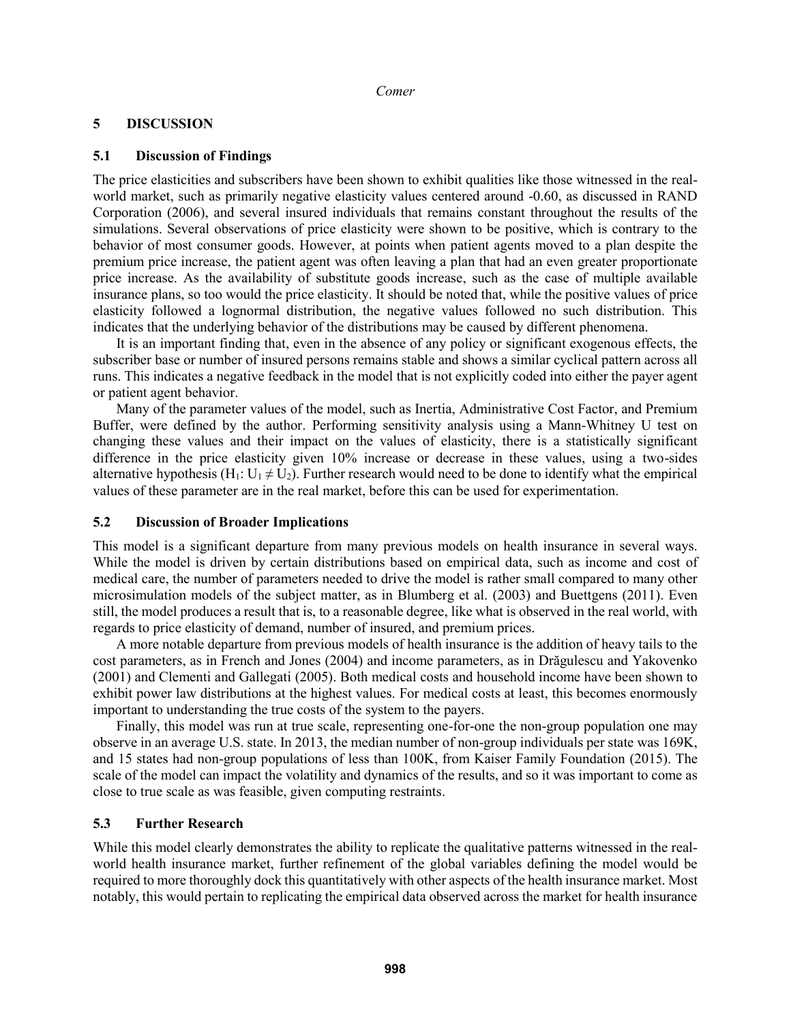## **5 DISCUSSION**

## **5.1 Discussion of Findings**

The price elasticities and subscribers have been shown to exhibit qualities like those witnessed in the realworld market, such as primarily negative elasticity values centered around -0.60, as discussed in RAND Corporation (2006), and several insured individuals that remains constant throughout the results of the simulations. Several observations of price elasticity were shown to be positive, which is contrary to the behavior of most consumer goods. However, at points when patient agents moved to a plan despite the premium price increase, the patient agent was often leaving a plan that had an even greater proportionate price increase. As the availability of substitute goods increase, such as the case of multiple available insurance plans, so too would the price elasticity. It should be noted that, while the positive values of price elasticity followed a lognormal distribution, the negative values followed no such distribution. This indicates that the underlying behavior of the distributions may be caused by different phenomena.

It is an important finding that, even in the absence of any policy or significant exogenous effects, the subscriber base or number of insured persons remains stable and shows a similar cyclical pattern across all runs. This indicates a negative feedback in the model that is not explicitly coded into either the payer agent or patient agent behavior.

Many of the parameter values of the model, such as Inertia, Administrative Cost Factor, and Premium Buffer, were defined by the author. Performing sensitivity analysis using a Mann-Whitney U test on changing these values and their impact on the values of elasticity, there is a statistically significant difference in the price elasticity given 10% increase or decrease in these values, using a two-sides alternative hypothesis (H<sub>1</sub>: U<sub>1</sub>  $\neq$  U<sub>2</sub>). Further research would need to be done to identify what the empirical values of these parameter are in the real market, before this can be used for experimentation.

### **5.2 Discussion of Broader Implications**

This model is a significant departure from many previous models on health insurance in several ways. While the model is driven by certain distributions based on empirical data, such as income and cost of medical care, the number of parameters needed to drive the model is rather small compared to many other microsimulation models of the subject matter, as in Blumberg et al. (2003) and Buettgens (2011). Even still, the model produces a result that is, to a reasonable degree, like what is observed in the real world, with regards to price elasticity of demand, number of insured, and premium prices.

A more notable departure from previous models of health insurance is the addition of heavy tails to the cost parameters, as in French and Jones (2004) and income parameters, as in Drăgulescu and Yakovenko (2001) and Clementi and Gallegati (2005). Both medical costs and household income have been shown to exhibit power law distributions at the highest values. For medical costs at least, this becomes enormously important to understanding the true costs of the system to the payers.

Finally, this model was run at true scale, representing one-for-one the non-group population one may observe in an average U.S. state. In 2013, the median number of non-group individuals per state was 169K, and 15 states had non-group populations of less than 100K, from Kaiser Family Foundation (2015). The scale of the model can impact the volatility and dynamics of the results, and so it was important to come as close to true scale as was feasible, given computing restraints.

# **5.3 Further Research**

While this model clearly demonstrates the ability to replicate the qualitative patterns witnessed in the realworld health insurance market, further refinement of the global variables defining the model would be required to more thoroughly dock this quantitatively with other aspects of the health insurance market. Most notably, this would pertain to replicating the empirical data observed across the market for health insurance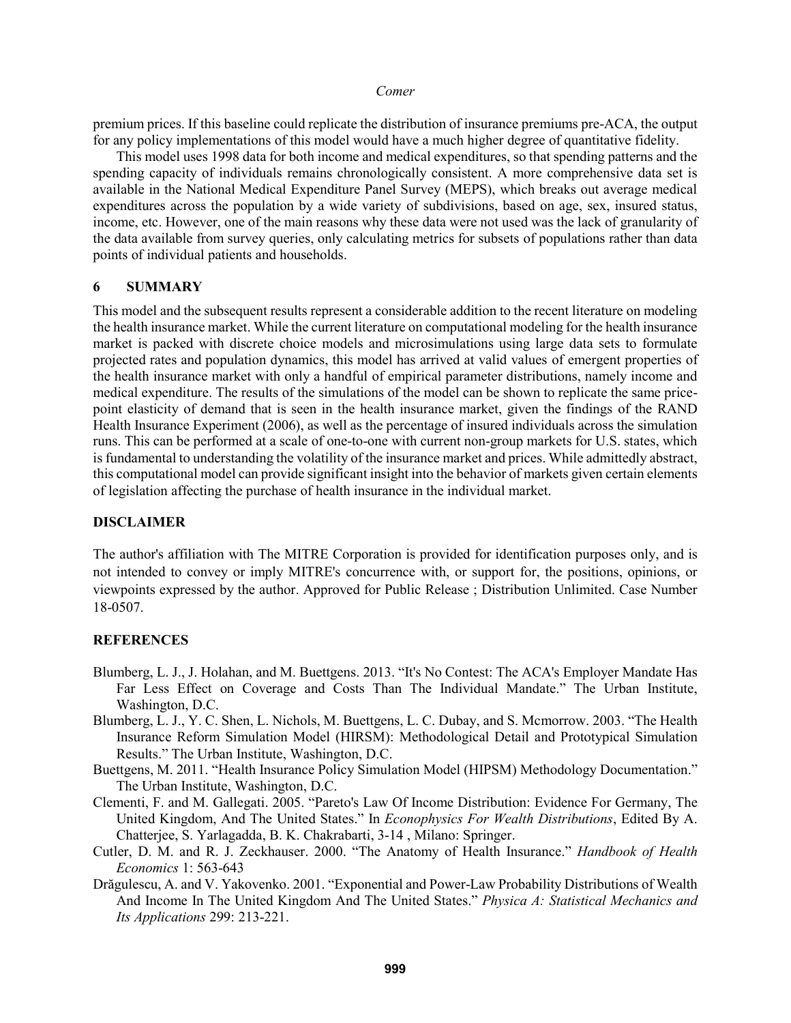premium prices. If this baseline could replicate the distribution of insurance premiums pre-ACA, the output for any policy implementations of this model would have a much higher degree of quantitative fidelity.

This model uses 1998 data for both income and medical expenditures, so that spending patterns and the spending capacity of individuals remains chronologically consistent. A more comprehensive data set is available in the National Medical Expenditure Panel Survey (MEPS), which breaks out average medical expenditures across the population by a wide variety of subdivisions, based on age, sex, insured status, income, etc. However, one of the main reasons why these data were not used was the lack of granularity of the data available from survey queries, only calculating metrics for subsets of populations rather than data points of individual patients and households.

### **6 SUMMARY**

This model and the subsequent results represent a considerable addition to the recent literature on modeling the health insurance market. While the current literature on computational modeling for the health insurance market is packed with discrete choice models and microsimulations using large data sets to formulate projected rates and population dynamics, this model has arrived at valid values of emergent properties of the health insurance market with only a handful of empirical parameter distributions, namely income and medical expenditure. The results of the simulations of the model can be shown to replicate the same pricepoint elasticity of demand that is seen in the health insurance market, given the findings of the RAND Health Insurance Experiment (2006), as well as the percentage of insured individuals across the simulation runs. This can be performed at a scale of one-to-one with current non-group markets for U.S. states, which is fundamental to understanding the volatility of the insurance market and prices. While admittedly abstract, this computational model can provide significant insight into the behavior of markets given certain elements of legislation affecting the purchase of health insurance in the individual market.

# **DISCLAIMER**

The author's affiliation with The MITRE Corporation is provided for identification purposes only, and is not intended to convey or imply MITRE's concurrence with, or support for, the positions, opinions, or viewpoints expressed by the author. Approved for Public Release ; Distribution Unlimited. Case Number 18-0507.

### **REFERENCES**

- Blumberg, L. J., J. Holahan, and M. Buettgens. 2013. "It's No Contest: The ACA's Employer Mandate Has Far Less Effect on Coverage and Costs Than The Individual Mandate." The Urban Institute, Washington, D.C.
- Blumberg, L. J., Y. C. Shen, L. Nichols, M. Buettgens, L. C. Dubay, and S. Mcmorrow. 2003. "The Health Insurance Reform Simulation Model (HIRSM): Methodological Detail and Prototypical Simulation Results." The Urban Institute, Washington, D.C.
- Buettgens, M. 2011. "Health Insurance Policy Simulation Model (HIPSM) Methodology Documentation." The Urban Institute, Washington, D.C.
- Clementi, F. and M. Gallegati. 2005. "Pareto's Law Of Income Distribution: Evidence For Germany, The United Kingdom, And The United States." In *Econophysics For Wealth Distributions*, Edited By A. Chatterjee, S. Yarlagadda, B. K. Chakrabarti, 3-14 , Milano: Springer.
- Cutler, D. M. and R. J. Zeckhauser. 2000. "The Anatomy of Health Insurance." *Handbook of Health Economics* 1: 563-643
- Drăgulescu, A. and V. Yakovenko. 2001. "Exponential and Power-Law Probability Distributions of Wealth And Income In The United Kingdom And The United States." *Physica A: Statistical Mechanics and Its Applications* 299: 213-221.